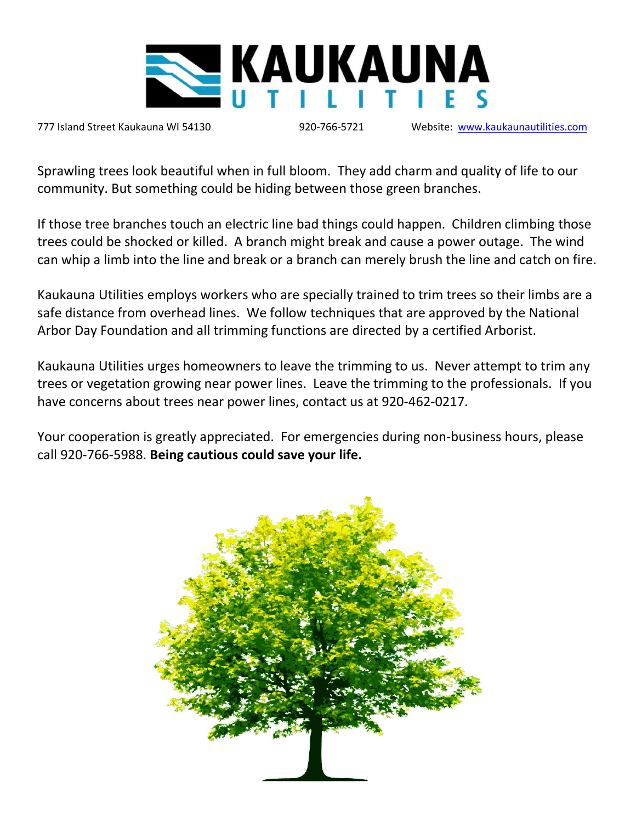

777 Island Street Kaukauna WI 54130 920-766-5721 Website: [www.kaukaunautilities.com](http://www.kaukaunautilities.com/)

Sprawling trees look beautiful when in full bloom. They add charm and quality of life to our community. But something could be hiding between those green branches.

If those tree branches touch an electric line bad things could happen. Children climbing those trees could be shocked or killed. A branch might break and cause a power outage. The wind can whip a limb into the line and break or a branch can merely brush the line and catch on fire.

Kaukauna Utilities employs workers who are specially trained to trim trees so their limbs are a safe distance from overhead lines. We follow techniques that are approved by the National Arbor Day Foundation and all trimming functions are directed by a certified Arborist.

Kaukauna Utilities urges homeowners to leave the trimming to us. Never attempt to trim any trees or vegetation growing near power lines. Leave the trimming to the professionals. If you have concerns about trees near power lines, contact us at 920-462-0217.

Your cooperation is greatly appreciated. For emergencies during non-business hours, please call 920-766-5988. **Being cautious could save your life.**